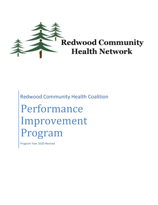

Redwood Community Health Coalition Performance Improvement Program

Program Year 2020-Revised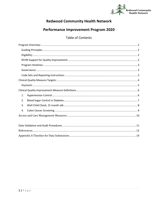

# **Redwood Community Health Network**

# **Performance Improvement Program 2020**

### **Table of Contents**

| 1.               |
|------------------|
| $\overline{2}$ . |
| 3.               |
| 4.               |
|                  |
|                  |
|                  |
|                  |
|                  |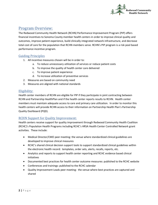

### <span id="page-2-0"></span>Program Overview:

The Redwood Community Health Network (RCHN) Performance Improvement Program (PIP) offers financial incentives to Sonoma County member health centers in order to improve clinical quality and outcomes, improve patient experience, build clinically integrated network infrastructure, and decrease total cost of care for the population that RCHN members serve. RCHN's PIP program is a risk pool based performance incentive program.

#### <span id="page-2-1"></span>Guiding Principles

- 1. All incentive measures chosen will be in order to:
	- a. To reduce unnecessary utilization of services or reduce patient costs
	- b. To improve the quality of health center care delivered
	- c. To improve patient experience
	- d. To increase utilization of preventive services
- 2. Measures are based on community need
- 3. Measures are aligned with national standards

#### <span id="page-2-2"></span>Eligibility:

Health center members of RCHN are eligible for PIP if they participate in joint contracting between RCHN and Partnership HealthPlan and if the health center reports results to RCHN. Health center members must maintain adequate access to care and primary care utilization. In order to monitor this health centers will provide RCHN access to their information on Partnership Health Plan's Partnership Quality Dashboard (PQD).

#### <span id="page-2-3"></span>RCHN Support for Quality Improvement:

Health centers receive support for quality improvement through Redwood Community Health Coalition (RCHC)'s Population Health Programs including RCHC's HRSA Health Center Controlled Network grant activities. These include:

- Medical Director/CMO peer meeting: the venue where standardized clinical guidelines are developed to improve clinical measures
- RCHC's shared clinical decision support tools to support standardized clinical guidelines within the electronic health record: templates, order sets, alerts, recalls, reports, etc.
- Analytics and reports to support health center reporting and RCHC evidence based clinical initiatives
- Documented best practices for health center outcome measures: published to the RCHC website
- Conferences and trainings: published to the RCHC calendar
- Quality Improvement Leads peer meeting: the venue where best practices are captured and shared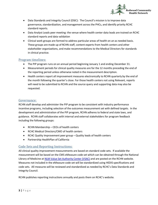

- Data Standards and Integrity Council (DSIC): The Council's mission is to improve data governance, standardization, and management across the PHCs, and identify priority RCHC standard reports.
- Data Analyst Leads peer meeting: the venue where health center data leads are trained on RCHC standard reports and data validation
- Clinical work groups are formed to address particular areas of health on an as needed basis. These groups are made up of RCHN staff, content experts from health centers and other stakeholder organizations, and make recommendations to the Medical Directors for standards in clinical practice.

#### <span id="page-3-0"></span>Program timelines:

- The PIP program runs on an annual period beginning January 1 and ending December 31.
- Measurement periods for clinical quality measures are for the 12 months preceding the end of the reporting period unless otherwise noted in the measurement description.
- Health centers report all improvement measures electronically to RCHN quarterly by the end of the month following the quarter's close. For those health centers not using Relevant, reports will need to be submitted to RCHN and the source query and supporting data may also be requested.

#### <span id="page-3-1"></span>Governance:

RCHN staff develop and administer the PIP program to be consistent with industry performance incentive programs, including selection of the outcomes measurement set with defined targets. In the development and administration of the PIP program, RCHN adheres to federal and state laws, and guidance. RCHN staff collaborates with internal and external stakeholders for program feedback including the following groups:

- RCHN Membership CEOs of health centers
- RCHC Medical Directors/CMO of health centers
- RCHC Quality Improvement peer group Quality leads of health centers
- Partnership HealthPlan of California

#### <span id="page-3-2"></span>Code Sets and Reporting Instructions:

All clinical quality improvement measurements are based on standard code sets. If available the measurement will be based on the CMS eMeasure code set which can be obtained through the National Library of Medicine a[t NLM Value Set Authority Center \(VSAC\)](https://vsac.nlm.nih.gov/#search-tab) and are posted on the RCHN website. Measures not included in the eMeasure code set will be standardized using HEDIS specifications and code sets. All measures will be reviewed and standardized as needed by RCHC's Data Standards and Integrity Council.

RCHN publishes reporting instructions annually and posts them on RCHC's website.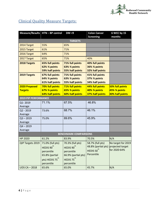

# <span id="page-4-0"></span>Clinical Quality Measure Targets:

|                              | Measure/Results HTN-BP control                                                                                          | <b>DM &lt;9</b>                                                                                                         | <b>Colon Cancer</b>                                                                              | 6 WCC by 15                        |  |
|------------------------------|-------------------------------------------------------------------------------------------------------------------------|-------------------------------------------------------------------------------------------------------------------------|--------------------------------------------------------------------------------------------------|------------------------------------|--|
|                              |                                                                                                                         |                                                                                                                         | <b>Screening</b>                                                                                 | months                             |  |
|                              |                                                                                                                         | <b>TARGETS</b>                                                                                                          |                                                                                                  |                                    |  |
| 2014 Target                  | 55%                                                                                                                     | 65%                                                                                                                     |                                                                                                  |                                    |  |
| 2015 Target                  | 61%                                                                                                                     | 71%                                                                                                                     |                                                                                                  |                                    |  |
| 2016 Target                  | 64%                                                                                                                     | 71%                                                                                                                     |                                                                                                  |                                    |  |
| 2017 Target                  | 65%                                                                                                                     | 71%                                                                                                                     | 40%                                                                                              |                                    |  |
| 2018 Targets                 | <b>65% full points</b><br>62% <sup>3</sup> ⁄4 points<br>59% half points                                                 | 71% full points<br>63% <sup>3</sup> ⁄4 points<br>55% half points                                                        | 40% full points<br>36% % points<br>32% half points                                               |                                    |  |
| 2019 Targets                 | 67% full points<br>64% <sup>3</sup> ⁄4 points<br>61% half points                                                        | 71% full points<br>63% <sup>3</sup> ⁄4 points<br>55% half points                                                        | 41% full points<br>37% <sup>3</sup> ⁄4 points<br>34% half points                                 |                                    |  |
| 2020 Proposed                | 70% full points                                                                                                         | 71% full points                                                                                                         | 44% full points                                                                                  | 50% full points                    |  |
| <b>Targets</b>               | 67% <sup>3</sup> ⁄4 points                                                                                              | 65% <sup>3</sup> ⁄4 points                                                                                              | 40% 3⁄4 points                                                                                   | 45% <sup>3</sup> ⁄4 points         |  |
|                              | 64% half points                                                                                                         | 60% half points                                                                                                         | 37% half points                                                                                  | 40% half points                    |  |
| <b>2019 PIP PERFORMANCE</b>  |                                                                                                                         |                                                                                                                         |                                                                                                  |                                    |  |
| Q1-2019                      | 71.1%                                                                                                                   | 67.5%                                                                                                                   | 46.8%                                                                                            |                                    |  |
| Average                      |                                                                                                                         | 68.7%                                                                                                                   | 46.1%                                                                                            |                                    |  |
| $Q2 - 2019$<br>Average       | 73.6%                                                                                                                   |                                                                                                                         |                                                                                                  |                                    |  |
| $Q3 - 2019$                  | 75.0%                                                                                                                   | 69.6%                                                                                                                   | 45.9%                                                                                            |                                    |  |
| Average                      |                                                                                                                         |                                                                                                                         |                                                                                                  |                                    |  |
| $Q4 - 2019$                  |                                                                                                                         |                                                                                                                         |                                                                                                  |                                    |  |
| Average                      |                                                                                                                         |                                                                                                                         |                                                                                                  |                                    |  |
| <b>BENCHMARK COMPARISONS</b> |                                                                                                                         |                                                                                                                         |                                                                                                  |                                    |  |
| <b>HP 2020</b>               | 61.2%                                                                                                                   | 83.9%                                                                                                                   | 70.5%                                                                                            | N/A                                |  |
| QIP Targets 2019             | 71.0% (full pts)<br>HEDIS 90 <sup>th</sup><br>percentile<br>65.8% (partial<br>pts) HEDIS 75 <sup>th</sup><br>percentile | 70.3% (full pts)<br>HEDIS 90 <sup>th</sup><br>percentile<br>66.9% (partial pts)<br>HEDIS 75 <sup>th</sup><br>percentile | 58.7% (full pts)<br>48.8% (partial pts) projected target<br>HEDIS 50 <sup>th</sup><br>Percentile | No target for 2019<br>for 2020 64% |  |
| <b>UDS CA-2018</b>           | 65.6%                                                                                                                   | 65.0%                                                                                                                   | 45.7%                                                                                            | N/A                                |  |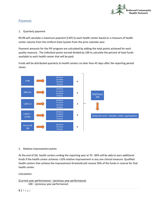

#### <span id="page-5-0"></span>Payment:

#### 1. Quarterly payment

RCHN will calculate a maximum payment (CAP) to each health center based on a measure of health center volume from the Uniform Data System from the prior calendar year.

Payment amounts for the PIP program are calculated by adding the total points achieved for each quality measure. The individual points earned divided by 100 to calculate the percent of total funds available to each health center that will be paid.

Funds will be distributed quarterly to health centers no later than 45 days after the reporting period closes.



#### 2. Relative improvement points

At the end of Q4, health centers ending the reporting year at 70 - 89% will be able to earn additional funds if the health center achieves >10% relative improvement in any one clinical measure. Qualified health centers that achieve the improvement threshold will receive 50% of the funds in reserve for that health center.

Calculation:

```
(Current year performance) – (previous year performance)
100 – (previous year performance)
```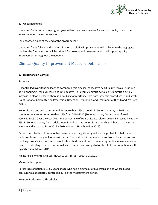

#### 3. Unearned funds

Unearned funds during the program year will roll over each quarter for an opportunity to earn the incentive when measures are met.

For unearned funds at the end of the program year:

Unearned funds following the determination of relative improvement, will roll over to the aggregate pool for the future year or will be utilized for projects and programs which will support quality improvement throughout the network.

### <span id="page-6-0"></span>Clinical Quality Improvement Measure Definitions

#### <span id="page-6-1"></span>**1. Hypertension Control**

#### Rationale

Uncontrolled hypertension leads to coronary heart disease, congestive heart failure, stroke, ruptured aortic aneurysm, renal disease, and retinopathy. For every 20 mmHg systolic or 10 mmHg diastolic increase in blood pressure, there is a doubling of mortality from both ischemic heart disease and stroke (Joint National Committee on Prevention, Detection, Evaluation, and Treatment of High Blood Pressure 2003).

Heart disease and stroke accounted for more than 25% of deaths in Sonoma County in 2013 and continues to account for more than 25% from 2014-2017 (Sonoma County Department of Health Services 2019). Over the year 2013, the percentage of Heart Disease related deaths increased by nearly 6%. In Sonoma County 7% of adults were found to have heart disease which is higher than the state average and increased from 2012 – 2014 (Sonoma Health Action 2015).

Better control of blood pressure has been shown to significantly reduce the probability that these undesirable and costly outcomes will occur. The relationship between the control of hypertension and the long-term clinical outcomes is well established. In addition to preventing cardiovascular events and deaths, controlling hypertension would also result in cost savings to total cost of care for patients with hypertension (Moran 2015).

Measure alignment: CMS165, NCQA 0018, PHP QIP 2020, UDS 2020

#### Measure description

Percentage of patients 18-85 years of age who had a diagnosis of hypertension and whose blood pressure was adequately controlled during the measurement period.

#### Program Performance Thresholds: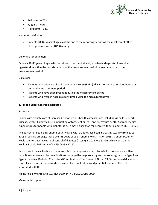

- Full points 70%
- $\frac{3}{4}$  points 67%
- Half points 64%

#### Numerator definition

• Patients 18–85 years of age as of the end of the reporting period whose most recent office blood pressure was <140/90 mm Hg.

#### Denominator definition

Patients 18-85 years of age, who had at least one medical visit, who had a diagnosis of essential hypertension within the first six months of the measurement period or any time prior to the measurement period.

#### Exclusions

- Patients with evidence of end stage renal disease (ESRD), dialysis or renal transplant before or during the measurement period
- Patients who have been pregnant during the measurement period
- Patients who were in hospice at any time during the measurement year

#### <span id="page-7-0"></span>**2. Blood Sugar Control in Diabetes**

#### Rationale

People with diabetes are at increased risk of serious health complications including vision loss, heart disease, stroke, kidney failure, amputation of toes, feet or legs, and premature death. Average medical expenditures for people with diabetes is 2.3 times higher than for people without diabetes. (CDC 2017).

The percent of people in Sonoma County living with diabetes has been increasing steadily from 2011- 2015 especially amongst those over 65 years of age (Sonoma Health Action 2015). Sonoma County Health Centers average rate of control of diabetes (A1c≤9) in 2016 was 68% much lower than the Healthy People 2020 Goal of 83.9% (HRSA 2016).

Randomized clinical trials have demonstrated that improving control of A1c levels correlates with a reduction in microvascular complications (retinopathy, nephropathy and neuropathy) in both Type 1 and Type 2 diabetes (Diabetes Control and Complications Trial Research Group 1993). Improved diabetes control also results in decreased cardiovascular complications and potentially reduces the cost associated with them.

Measure alignment: CMS122, NQF0059, PHP QIP 2020, UDS 2020

#### Measure description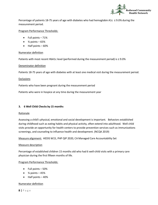

Percentage of patients 18-75 years of age with diabetes who had hemoglobin A1c ≤ 9.0% during the measurement period.

#### Program Performance Thresholds:

- Full points 71%
- $\frac{3}{4}$  points 65%
- Half points 60%

#### Numerator definition

Patients with most recent HbA1c level (performed during the measurement period) is ≤ 9.0%

#### Denominator definition

Patients 18-75 years of age with diabetes with at least one medical visit during the measurement period.

#### Exclusions

Patients who have been pregnant during the measurement period

Patients who were in hospice at any time during the measurement year

#### **3. 6 Well Child Checks by 15 months**

#### Rationale

Assessing a child's physical, emotional and social development is important. Behaviors established during childhood such as eating habits and physical activity, often extend into adulthood. Well child visits provide an opportunity for health centers to provide prevention services such as immunizations screenings, and counseling to influence health and development. (NCQA 2019)

Measure alignment: HEDIS W15, PHP QIP 2020, CA Managed Care Accountability Set

#### Measure description

Percentage of established children 15 months old who had 6 well-child visits with a primary care physician during the first fifteen months of life.

#### Program Performance Thresholds:

- Full points 50%
- $\bullet$  % points  $-45\%$
- Half points 40%

#### Numerator definition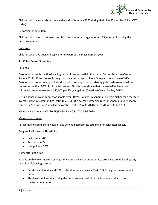

Children who received six or more well-child visits with a PCPC during their first 15 months of life. (CPT codes)

#### Denominator definition

Children who have had at least one visit after 2 months of age who turn 15 months old during the measurement year.

#### Exclusions

Children who have been in hospice for any part of the measurement year

#### <span id="page-9-0"></span>**4. Colon Cancer Screening**

#### Rationale

Colorectal cancer is the third leading cause of cancer death in the United States (American Cancer Society 2019). If the disease is caught in its earliest stages, it has a five-year survival rate of 91%. Colorectal cancer screening of individuals with no symptoms can identify polyps whose removal can prevent more than 90% of colorectal cancers. Studies have shown that the cost-effectiveness of colorectal cancer screening is \$40,000 per life year gained (American Cancer Society 2015).

The incidence of colon cancer for people over 50 years of age, in Sonoma County is higher than the state average (Healthy Communities Institute 2016). The average screening rate for Sonoma County health centers in 2018 was 46% which is below the Healthy People 2020 goal of 70.5% (HRSA 2016).

Measure alignment: CMS130, NQF0034, PHP QIP 2020, UDS 2020

#### Measure description

Percentage of adults 50-75 years of age who had appropriate screening for colorectal cancer.

#### Program Performance Thresholds:

- Full points 44%
- $\frac{3}{4}$  points  $-40\%$
- Half points 37%

#### Numerator definition

Patients with one or more screenings for colorectal cancer. Appropriate screenings are defined by any one of the following criteria:

- Fecal occult blood test (FOBT) or Fecal Immunochemical Test (FIT) during the measurement period
- Flexible sigmoidoscopy during the measurement period or the four years prior to the measurement period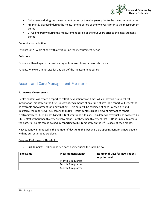

- Colonoscopy during the measurement period or the nine years prior to the measurement period
- FIT-DNA (Cologuard) during the measurement period or the two years prior to the measurement period
- CT Colonography during the measurement period or the four years prior to the measurement period

#### Denominator definition

Patients 50-75 years of age with a visit during the measurement period

Exclusions

Patients with a diagnosis or past history of total colectomy or colorectal cancer

Patients who were in hospice for any part of the measurement period

### <span id="page-10-0"></span>Access and Care Management Measures

#### **1. Access Measurement**

Health centers will create a report to reflect new patient wait times which they will run to collect information monthly on the first Tuesday of each month at any time of day. This report will reflect the  $1<sup>st</sup>$  available appointment for a new patient. This data will be collected at each licensed site and quarterly, the reports will be share with RCHN. Health centers using Relevant may opt to report electronically to RCHN by notifying RCHN of what report to use. This data will eventually be collected by RCHN staff without health center involvement. For those health centers that RCHN is unable to access the data, full points can be gained by reporting to RCHN monthly on the  $1<sup>st</sup>$  Tuesday of each month.

New patient wait time will is the number of days until the first available appointment for a new patient with no current urgent problems.

#### Program Performance Thresholds:

• Full 10 points – 100% reported each quarter using the table below

| <b>Site Name</b> | <b>Measurement Month</b> | <b>Number of Days for New Patient</b><br>Appointment |
|------------------|--------------------------|------------------------------------------------------|
|                  | Month 1 in quarter       |                                                      |
|                  | Month 2 in quarter       |                                                      |
|                  | Month 3 in quarter       |                                                      |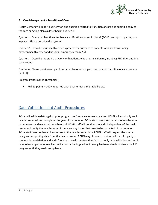

#### **2. Care Management – Transition of Care**

Health Centers will report quarterly on one question related to transition of care and submit a copy of the care or action plan as described in quarter 4:

Quarter 1: Does your health center have a notification system in place? (RCHC can support getting that in place). Please describe the system:

Quarter 2: Describe your health center's process for outreach to patients who are transitioning between health center and hospital, emergency room, SNF:

Quarter 3: Describe the staff that work with patients who are transitioning, including FTE, title, and brief background:

Quarter 4: Please provide a copy of the care plan or action plan used in your transition of care process (no PHI):

#### Program Performance Thresholds:

• Full 10 points – 100% reported each quarter using the table below.

### <span id="page-11-0"></span>Data Validation and Audit Procedures

RCHN will validate data against prior program performance for each quarter. RCHN will randomly audit health center values throughout the year. In cases when RCHN staff have direct access to health center data systems and electronic health record, RCHN staff will conduct the audit independent of the health center and notify the health center if there are any issues that need to be corrected. In cases when RCHN staff does not have direct access to the health center data, RCHN staff will request the source query and supporting data from the health center. RCHN may choose to contract with a third party to conduct data validation and audit functions. Health centers that fail to comply with validation and audit or who have open or unresolved validation or findings will not be eligible to receive funds from the PIP program until they are in compliance.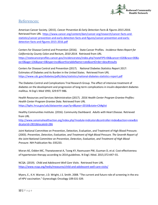

### <span id="page-12-0"></span>References:

American Cancer Society. (2015). *Cancer Prevention & Early Detection Facts & Figures 2015-2016*. Retrieved from URL [https://www.cancer.org/content/dam/cancer-org/research/cancer-facts-and](https://www.cancer.org/content/dam/cancer-org/research/cancer-facts-and-statistics/cancer-prevention-and-early-detection-facts-and-figures/cancer-prevention-and-early-detection-facts-and-figures-2015-2016.pdf)[statistics/cancer-prevention-and-early-detection-facts-and-figures/cancer-prevention-and-early](https://www.cancer.org/content/dam/cancer-org/research/cancer-facts-and-statistics/cancer-prevention-and-early-detection-facts-and-figures/cancer-prevention-and-early-detection-facts-and-figures-2015-2016.pdf)[detection-facts-and-figures-2015-2016.pdf](https://www.cancer.org/content/dam/cancer-org/research/cancer-facts-and-statistics/cancer-prevention-and-early-detection-facts-and-figures/cancer-prevention-and-early-detection-facts-and-figures-2015-2016.pdf)

Centers for Disease Control and Prevention (2016). State Cancer Profiles. *Incidence Rates Report for California by County Colon and Rectum, 2010-2014.* Retrieved from URL [https://statecancerprofiles.cancer.gov/incidencerates/index.php?stateFIPS=06&cancer=020&race=00&s](https://statecancerprofiles.cancer.gov/incidencerates/index.php?stateFIPS=06&cancer=020&race=00&sex=0&age=136&year=0&type=incd&sortVariableName=rate&sortOrder=desc#results) [ex=0&age=136&year=0&type=incd&sortVariableName=rate&sortOrder=desc#results](https://statecancerprofiles.cancer.gov/incidencerates/index.php?stateFIPS=06&cancer=020&race=00&sex=0&age=136&year=0&type=incd&sortVariableName=rate&sortOrder=desc#results)

Centers for Disease Control and Prevention (2017). National Diabetes Statistics Report 2017: Estimates of Diabetes and its Burden in the United States. Retrieved from URL <https://www.cdc.gov/diabetes/pdfs/data/statistics/national-diabetes-statistics-report.pdf>

The Diabetes Control and Complications Trial Research Group. The effect of intensive treatment of diabetes on the development and progression of long-term complications in insulin-dependent diabetes mellitus. *N Engl J Med* 1993; 329:977-986.

Health Resources and Services Administration (2017). *2016 Health Center Program Grantee Profiles: Health Center Program Grantee Data.* Retrieved from URL <https://bphc.hrsa.gov/uds/datacenter.aspx?q=d&year=2016&state=CA#glist>

Healthy Communities Institute. (2016). Community Dashboard. *Adults with Heart Disease*. Retrieved from URL

[http://www.sonomahealthaction.org/index.php?module=indicators&controller=index&action=view&in](http://www.sonomahealthaction.org/index.php?module=indicators&controller=index&action=view&indicatorId=2831&localeId=286) [dicatorId=2831&localeId=286](http://www.sonomahealthaction.org/index.php?module=indicators&controller=index&action=view&indicatorId=2831&localeId=286)

Joint National Committee on Prevention, Detection, Evaluation, and Treatment of High Blood Pressure. (2003). *Prevention, Detection, Evaluation, and Treatment of High Blood Pressure. The Seventh Report of the Joint National Committee on Prevention, Detection, Evaluation, and Treatment of High Blood Pressure*. NIH Publication No. 035233.

Moran AE, Odden MC, Thanataveerat A, Tzong KY, Rasmussen PW, Guzman D, et al. Cost-effectiveness of hypertension therapy according to 2014 guidelines. N Engl J Med. 2015;372:447–55.

NCQA. (2019). *Child and Adolescent Well Care Visits*. Retrieved from URL <https://www.ncqa.org/hedis/measures/child-and-adolescent-well-care-visits/>

Myers, E., K.H. Warner, J.D. Wright, J.S. Smith. 2008. "The current and future role of screening in the era of HPV vaccination." Gynecologic Oncology 109:S31-S39.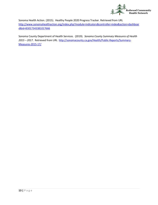

Sonoma Health Action. (2015). Healthy People 2020 Progress Tracker. Retrieved from URL [http://www.sonomahealthaction.org/index.php?module=indicators&controller=index&action=dashboar](http://www.sonomahealthaction.org/index.php?module=indicators&controller=index&action=dashboard&id=83017343381017666) [d&id=83017343381017666](http://www.sonomahealthaction.org/index.php?module=indicators&controller=index&action=dashboard&id=83017343381017666)

Sonoma County Department of Health Services. (2019). *Sonoma County Summary Measures of Health 2015 – 2017*. Retrieved from URL [http://sonomacounty.ca.gov/Health/Public-Reports/Summary-](http://sonomacounty.ca.gov/Health/Public-Reports/Summary-Measures-2015-17/)[Measures-2015-17/](http://sonomacounty.ca.gov/Health/Public-Reports/Summary-Measures-2015-17/)